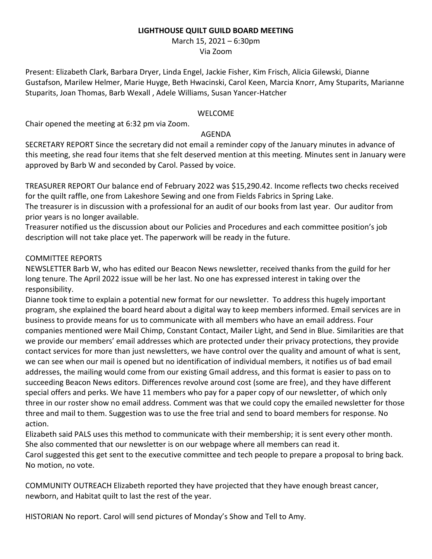### **LIGHTHOUSE QUILT GUILD BOARD MEETING**

March 15, 2021 – 6:30pm

Via Zoom

Present: Elizabeth Clark, Barbara Dryer, Linda Engel, Jackie Fisher, Kim Frisch, Alicia Gilewski, Dianne Gustafson, Marilew Helmer, Marie Huyge, Beth Hwacinski, Carol Keen, Marcia Knorr, Amy Stuparits, Marianne Stuparits, Joan Thomas, Barb Wexall , Adele Williams, Susan Yancer-Hatcher

### WELCOME

Chair opened the meeting at 6:32 pm via Zoom.

### AGENDA

SECRETARY REPORT Since the secretary did not email a reminder copy of the January minutes in advance of this meeting, she read four items that she felt deserved mention at this meeting. Minutes sent in January were approved by Barb W and seconded by Carol. Passed by voice.

TREASURER REPORT Our balance end of February 2022 was \$15,290.42. Income reflects two checks received for the quilt raffle, one from Lakeshore Sewing and one from Fields Fabrics in Spring Lake.

The treasurer is in discussion with a professional for an audit of our books from last year. Our auditor from prior years is no longer available.

Treasurer notified us the discussion about our Policies and Procedures and each committee position's job description will not take place yet. The paperwork will be ready in the future.

# COMMITTEE REPORTS

NEWSLETTER Barb W, who has edited our Beacon News newsletter, received thanks from the guild for her long tenure. The April 2022 issue will be her last. No one has expressed interest in taking over the responsibility.

Dianne took time to explain a potential new format for our newsletter. To address this hugely important program, she explained the board heard about a digital way to keep members informed. Email services are in business to provide means for us to communicate with all members who have an email address. Four companies mentioned were Mail Chimp, Constant Contact, Mailer Light, and Send in Blue. Similarities are that we provide our members' email addresses which are protected under their privacy protections, they provide contact services for more than just newsletters, we have control over the quality and amount of what is sent, we can see when our mail is opened but no identification of individual members, it notifies us of bad email addresses, the mailing would come from our existing Gmail address, and this format is easier to pass on to succeeding Beacon News editors. Differences revolve around cost (some are free), and they have different special offers and perks. We have 11 members who pay for a paper copy of our newsletter, of which only three in our roster show no email address. Comment was that we could copy the emailed newsletter for those three and mail to them. Suggestion was to use the free trial and send to board members for response. No action.

Elizabeth said PALS uses this method to communicate with their membership; it is sent every other month. She also commented that our newsletter is on our webpage where all members can read it.

Carol suggested this get sent to the executive committee and tech people to prepare a proposal to bring back. No motion, no vote.

COMMUNITY OUTREACH Elizabeth reported they have projected that they have enough breast cancer, newborn, and Habitat quilt to last the rest of the year.

HISTORIAN No report. Carol will send pictures of Monday's Show and Tell to Amy.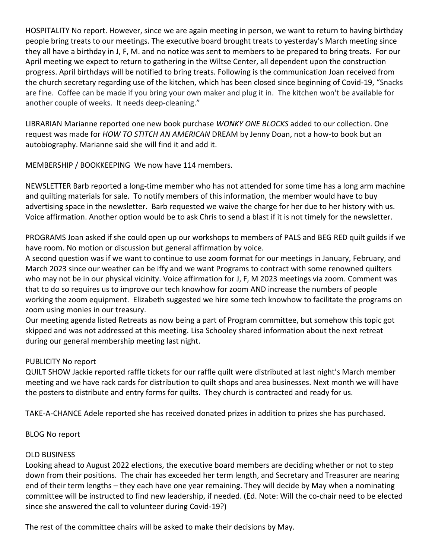HOSPITALITY No report. However, since we are again meeting in person, we want to return to having birthday people bring treats to our meetings. The executive board brought treats to yesterday's March meeting since they all have a birthday in J, F, M. and no notice was sent to members to be prepared to bring treats. For our April meeting we expect to return to gathering in the Wiltse Center, all dependent upon the construction progress. April birthdays will be notified to bring treats. Following is the communication Joan received from the church secretary regarding use of the kitchen, which has been closed since beginning of Covid-19, "Snacks are fine. Coffee can be made if you bring your own maker and plug it in. The kitchen won't be available for another couple of weeks. It needs deep-cleaning."

LIBRARIAN Marianne reported one new book purchase *WONKY ONE BLOCKS* added to our collection. One request was made for *HOW TO STITCH AN AMERICAN* DREAM by Jenny Doan, not a how-to book but an autobiography. Marianne said she will find it and add it.

MEMBERSHIP / BOOKKEEPING We now have 114 members.

NEWSLETTER Barb reported a long-time member who has not attended for some time has a long arm machine and quilting materials for sale. To notify members of this information, the member would have to buy advertising space in the newsletter. Barb requested we waive the charge for her due to her history with us. Voice affirmation. Another option would be to ask Chris to send a blast if it is not timely for the newsletter.

PROGRAMS Joan asked if she could open up our workshops to members of PALS and BEG RED quilt guilds if we have room. No motion or discussion but general affirmation by voice.

A second question was if we want to continue to use zoom format for our meetings in January, February, and March 2023 since our weather can be iffy and we want Programs to contract with some renowned quilters who may not be in our physical vicinity. Voice affirmation for J, F, M 2023 meetings via zoom. Comment was that to do so requires us to improve our tech knowhow for zoom AND increase the numbers of people working the zoom equipment. Elizabeth suggested we hire some tech knowhow to facilitate the programs on zoom using monies in our treasury.

Our meeting agenda listed Retreats as now being a part of Program committee, but somehow this topic got skipped and was not addressed at this meeting. Lisa Schooley shared information about the next retreat during our general membership meeting last night.

# PUBLICITY No report

QUILT SHOW Jackie reported raffle tickets for our raffle quilt were distributed at last night's March member meeting and we have rack cards for distribution to quilt shops and area businesses. Next month we will have the posters to distribute and entry forms for quilts. They church is contracted and ready for us.

TAKE-A-CHANCE Adele reported she has received donated prizes in addition to prizes she has purchased.

BLOG No report

# OLD BUSINESS

Looking ahead to August 2022 elections, the executive board members are deciding whether or not to step down from their positions. The chair has exceeded her term length, and Secretary and Treasurer are nearing end of their term lengths – they each have one year remaining. They will decide by May when a nominating committee will be instructed to find new leadership, if needed. (Ed. Note: Will the co-chair need to be elected since she answered the call to volunteer during Covid-19?)

The rest of the committee chairs will be asked to make their decisions by May.